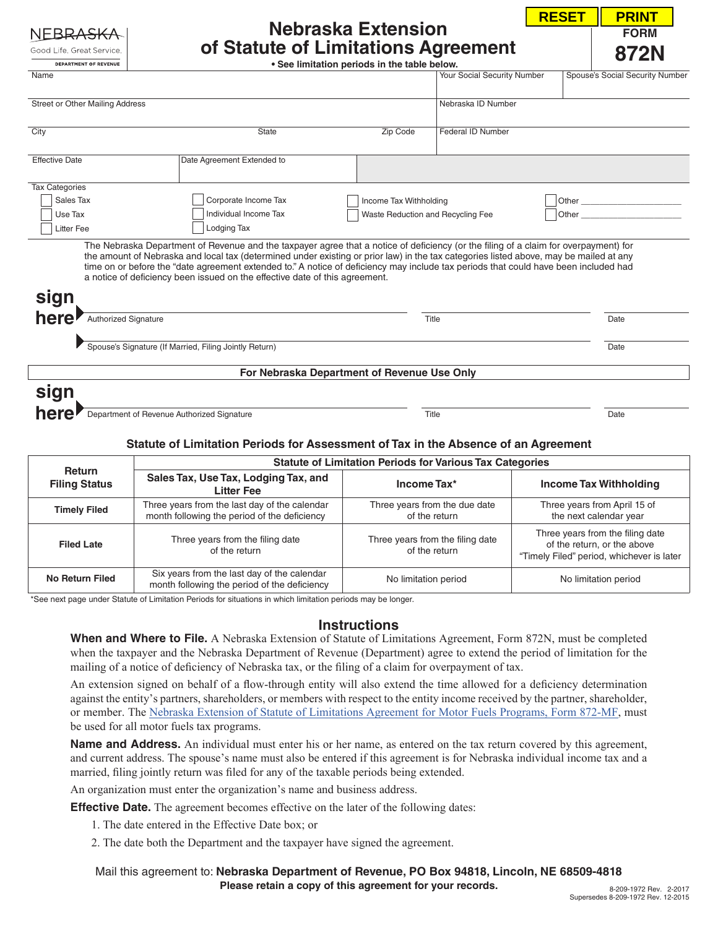| NEBRASKA                 |
|--------------------------|
| Good Life, Great Service |

## **Nebraska Extension of Statute of Limitations Agreement**

**RESET PRINT**

**FORM**

| Good Life, Great Service.                 | of Statute of Limitations Agreement                                                                                                                                                                                                                                                                                                                                                                                                                                                                   |                                              |                             | <b>872N</b>                     |
|-------------------------------------------|-------------------------------------------------------------------------------------------------------------------------------------------------------------------------------------------------------------------------------------------------------------------------------------------------------------------------------------------------------------------------------------------------------------------------------------------------------------------------------------------------------|----------------------------------------------|-----------------------------|---------------------------------|
| <b>DEPARTMENT OF REVENUE</b>              |                                                                                                                                                                                                                                                                                                                                                                                                                                                                                                       | . See limitation periods in the table below. |                             |                                 |
| Name                                      |                                                                                                                                                                                                                                                                                                                                                                                                                                                                                                       |                                              | Your Social Security Number | Spouse's Social Security Number |
| Street or Other Mailing Address           |                                                                                                                                                                                                                                                                                                                                                                                                                                                                                                       |                                              | Nebraska ID Number          |                                 |
| City                                      | State                                                                                                                                                                                                                                                                                                                                                                                                                                                                                                 | Zip Code                                     | <b>Federal ID Number</b>    |                                 |
| <b>Effective Date</b>                     | Date Agreement Extended to                                                                                                                                                                                                                                                                                                                                                                                                                                                                            |                                              |                             |                                 |
| <b>Tax Categories</b>                     |                                                                                                                                                                                                                                                                                                                                                                                                                                                                                                       |                                              |                             |                                 |
| Sales Tax                                 | Corporate Income Tax                                                                                                                                                                                                                                                                                                                                                                                                                                                                                  | Income Tax Withholding                       |                             |                                 |
| Use Tax                                   | Individual Income Tax                                                                                                                                                                                                                                                                                                                                                                                                                                                                                 | Waste Reduction and Recycling Fee            |                             |                                 |
| <b>Litter Fee</b>                         | Lodging Tax                                                                                                                                                                                                                                                                                                                                                                                                                                                                                           |                                              |                             |                                 |
|                                           | The Nebraska Department of Revenue and the taxpayer agree that a notice of deficiency (or the filing of a claim for overpayment) for<br>the amount of Nebraska and local tax (determined under existing or prior law) in the tax categories listed above, may be mailed at any<br>time on or before the "date agreement extended to." A notice of deficiency may include tax periods that could have been included had<br>a notice of deficiency been issued on the effective date of this agreement. |                                              |                             |                                 |
| sign                                      |                                                                                                                                                                                                                                                                                                                                                                                                                                                                                                       |                                              |                             |                                 |
| here <sup>P</sup><br>Authorized Signature |                                                                                                                                                                                                                                                                                                                                                                                                                                                                                                       |                                              | Title                       | Date                            |
|                                           | Spouse's Signature (If Married, Filing Jointly Return)                                                                                                                                                                                                                                                                                                                                                                                                                                                |                                              |                             | Date                            |
|                                           |                                                                                                                                                                                                                                                                                                                                                                                                                                                                                                       | For Nebraska Department of Revenue Use Only  |                             |                                 |
| sign                                      |                                                                                                                                                                                                                                                                                                                                                                                                                                                                                                       |                                              |                             |                                 |
| here                                      | Department of Revenue Authorized Signature                                                                                                                                                                                                                                                                                                                                                                                                                                                            |                                              | Title                       | Date                            |
|                                           |                                                                                                                                                                                                                                                                                                                                                                                                                                                                                                       |                                              |                             |                                 |

## **Statute of Limitation Periods for Assessment of Tax in the Absence of an Agreement**

|                                       | <b>Statute of Limitation Periods for Various Tax Categories</b>                               |                                                   |                                                                                                              |  |  |
|---------------------------------------|-----------------------------------------------------------------------------------------------|---------------------------------------------------|--------------------------------------------------------------------------------------------------------------|--|--|
| <b>Return</b><br><b>Filing Status</b> | Sales Tax, Use Tax, Lodging Tax, and<br><b>Litter Fee</b>                                     | Income Tax*                                       | <b>Income Tax Withholding</b>                                                                                |  |  |
| <b>Timely Filed</b>                   | Three years from the last day of the calendar<br>month following the period of the deficiency | Three years from the due date<br>of the return    | Three years from April 15 of<br>the next calendar year                                                       |  |  |
| <b>Filed Late</b>                     | Three years from the filing date<br>of the return                                             | Three years from the filing date<br>of the return | Three years from the filing date<br>of the return, or the above<br>"Timely Filed" period, whichever is later |  |  |
| No Return Filed                       | Six years from the last day of the calendar<br>month following the period of the deficiency   | No limitation period                              | No limitation period                                                                                         |  |  |

\*See next page under Statute of Limitation Periods for situations in which limitation periods may be longer.

## **Instructions**

**When and Where to File.** A Nebraska Extension of Statute of Limitations Agreement, Form 872N, must be completed when the taxpayer and the Nebraska Department of Revenue (Department) agree to extend the period of limitation for the mailing of a notice of deficiency of Nebraska tax, or the filing of a claim for overpayment of tax.

An extension signed on behalf of a flow-through entity will also extend the time allowed for a deficiency determination against the entity's partners, shareholders, or members with respect to the entity income received by the partner, shareholder, or member. The [Nebraska Extension of Statute of Limitations Agreement for Motor Fuels Programs, Form 872-MF](http://www.revenue.nebraska.gov/fuels/forms/fill-in/f_872nmf.pdf), must be used for all motor fuels tax programs.

Name and Address. An individual must enter his or her name, as entered on the tax return covered by this agreement, and current address. The spouse's name must also be entered if this agreement is for Nebraska individual income tax and a married, filing jointly return was filed for any of the taxable periods being extended.

An organization must enter the organization's name and business address.

**Effective Date.** The agreement becomes effective on the later of the following dates:

- 1. The date entered in the Effective Date box; or
- 2. The date both the Department and the taxpayer have signed the agreement.

**Please retain a copy of this agreement for your records.** Mail this agreement to: **Nebraska Department of Revenue, PO Box 94818, Lincoln, NE 68509-4818**